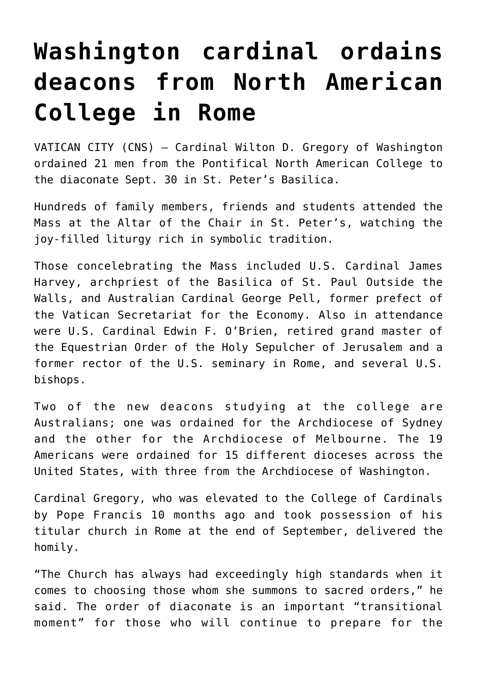## **[Washington cardinal ordains](https://www.osvnews.com/2021/09/30/washington-cardinal-ordains-deacons-from-north-american-college-in-rome/) [deacons from North American](https://www.osvnews.com/2021/09/30/washington-cardinal-ordains-deacons-from-north-american-college-in-rome/) [College in Rome](https://www.osvnews.com/2021/09/30/washington-cardinal-ordains-deacons-from-north-american-college-in-rome/)**

VATICAN CITY (CNS) — Cardinal Wilton D. Gregory of Washington ordained 21 men from the Pontifical North American College to the diaconate Sept. 30 in St. Peter's Basilica.

Hundreds of family members, friends and students attended the Mass at the Altar of the Chair in St. Peter's, watching the joy-filled liturgy rich in symbolic tradition.

Those concelebrating the Mass included U.S. Cardinal James Harvey, archpriest of the Basilica of St. Paul Outside the Walls, and Australian Cardinal George Pell, former prefect of the Vatican Secretariat for the Economy. Also in attendance were U.S. Cardinal Edwin F. O'Brien, retired grand master of the Equestrian Order of the Holy Sepulcher of Jerusalem and a former rector of the U.S. seminary in Rome, and several U.S. bishops.

Two of the new deacons studying at the college are Australians; one was ordained for the Archdiocese of Sydney and the other for the Archdiocese of Melbourne. The 19 Americans were ordained for 15 different dioceses across the United States, with three from the Archdiocese of Washington.

Cardinal Gregory, who was elevated to the College of Cardinals by Pope Francis 10 months ago and took possession of his titular church in Rome at the end of September, delivered the homily.

"The Church has always had exceedingly high standards when it comes to choosing those whom she summons to sacred orders," he said. The order of diaconate is an important "transitional moment" for those who will continue to prepare for the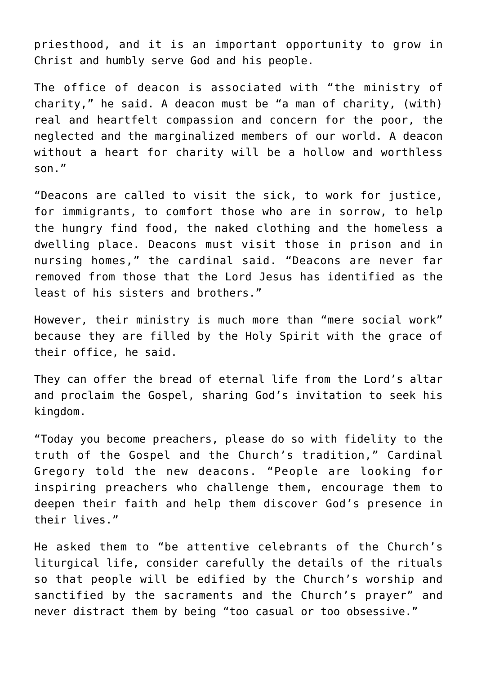priesthood, and it is an important opportunity to grow in Christ and humbly serve God and his people.

The office of deacon is associated with "the ministry of charity," he said. A deacon must be "a man of charity, (with) real and heartfelt compassion and concern for the poor, the neglected and the marginalized members of our world. A deacon without a heart for charity will be a hollow and worthless son."

"Deacons are called to visit the sick, to work for justice, for immigrants, to comfort those who are in sorrow, to help the hungry find food, the naked clothing and the homeless a dwelling place. Deacons must visit those in prison and in nursing homes," the cardinal said. "Deacons are never far removed from those that the Lord Jesus has identified as the least of his sisters and brothers."

However, their ministry is much more than "mere social work" because they are filled by the Holy Spirit with the grace of their office, he said.

They can offer the bread of eternal life from the Lord's altar and proclaim the Gospel, sharing God's invitation to seek his kingdom.

"Today you become preachers, please do so with fidelity to the truth of the Gospel and the Church's tradition," Cardinal Gregory told the new deacons. "People are looking for inspiring preachers who challenge them, encourage them to deepen their faith and help them discover God's presence in their lives."

He asked them to "be attentive celebrants of the Church's liturgical life, consider carefully the details of the rituals so that people will be edified by the Church's worship and sanctified by the sacraments and the Church's prayer" and never distract them by being "too casual or too obsessive."